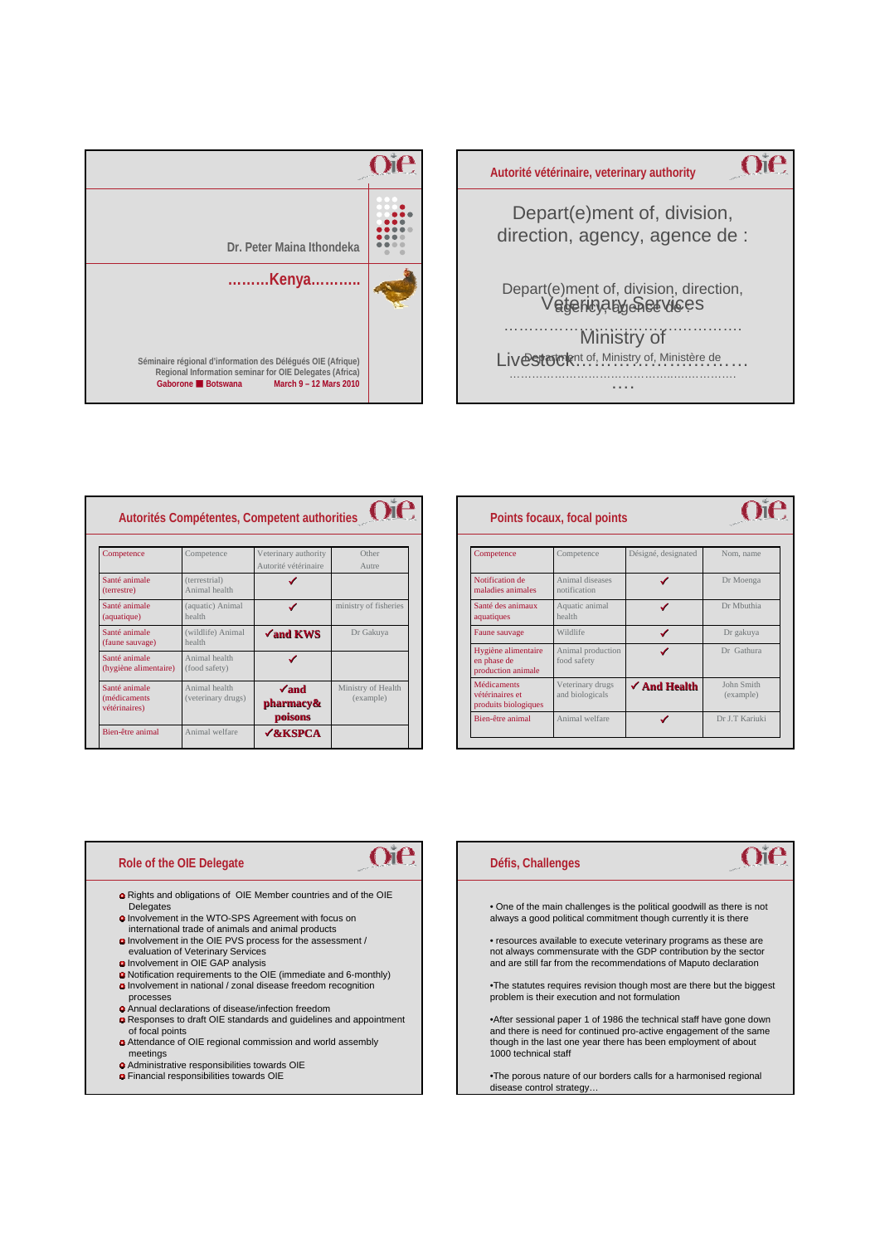



| e   | Points focaux, focal points                                   |                                     |                         |                         |
|-----|---------------------------------------------------------------|-------------------------------------|-------------------------|-------------------------|
|     | Competence                                                    | Competence                          | Désigné, designated     | Nom, name               |
|     | Notification de<br>maladies animales                          | Animal diseases<br>notification     |                         | Dr Moenga               |
| ies | Santé des animaux<br>aquatiques                               | Aquatic animal<br>health            |                         | Dr Mbuthia              |
|     | Faune sauvage                                                 | Wildlife                            | ✔                       | Dr gakuya               |
|     | Hygiène alimentaire<br>en phase de<br>production animale      | Animal production<br>food safety    |                         | Dr Gathura              |
| th  | <b>Médicaments</b><br>vétérinaires et<br>produits biologiques | Veterinary drugs<br>and biologicals | $\checkmark$ And Health | John Smith<br>(example) |
|     | Bien-être animal                                              | Animal welfare                      |                         | Dr J.T Kariuki          |

## $\Omega$ **Autorités Compétentes, Competent authorities**

| Competence                                      | Competence                          | Veterinary authority                 | Other                           |
|-------------------------------------------------|-------------------------------------|--------------------------------------|---------------------------------|
|                                                 |                                     | Autorité vétérinaire                 | Autre                           |
| Santé animale<br>(terrestre)                    | (terrestrial)<br>Animal health      |                                      |                                 |
| Santé animale<br>(aquatique)                    | (aquatic) Animal<br>health          | ✔                                    | ministry of fisheries           |
| Santé animale<br>(faune sauvage)                | (wildlife) Animal<br>health         | $\sqrt{\text{and KWS}}$              | Dr Gakuya                       |
| Santé animale<br>(hygiène alimentaire)          | Animal health<br>(food safety)      |                                      |                                 |
| Santé animale<br>(médicaments)<br>vétérinaires) | Animal health<br>(veterinary drugs) | $\sqrt{and}$<br>pharmacy&<br>poisons | Ministry of Health<br>(example) |
| Bien-être animal                                | Animal welfare                      | <b>√&amp;KSPCA</b>                   |                                 |

## **Role of the OIE Delegate**

Rights and obligations of OIE Member countries and of the OIE Delegates Involvement in the WTO-SPS Agreement with focus on

 $O$ ie

- international trade of animals and animal products
- Involvement in the OIE PVS process for the assessment / evaluation of Veterinary Services
- Involvement in OIE GAP analysis
- Notification requirements to the OIE (immediate and 6-monthly) **O** Involvement in national / zonal disease freedom recognition
- processes Annual declarations of disease/infection freedom
- Responses to draft OIE standards and guidelines and appointment
- of focal points Attendance of OIE regional commission and world assembly meetings
- Administrative responsibilities towards OIE
- Financial responsibilities towards OIE

## **Défis, Challenges**

• One of the main challenges is the political goodwill as there is not always a good political commitment though currently it is there

 $\alpha$ ie

• resources available to execute veterinary programs as these are not always commensurate with the GDP contribution by the sector and are still far from the recommendations of Maputo declaration

•The statutes requires revision though most are there but the biggest problem is their execution and not formulation

•After sessional paper 1 of 1986 the technical staff have gone down and there is need for continued pro-active engagement of the same though in the last one year there has been employment of about 1000 technical staff

•The porous nature of our borders calls for a harmonised regional disease control strategy…